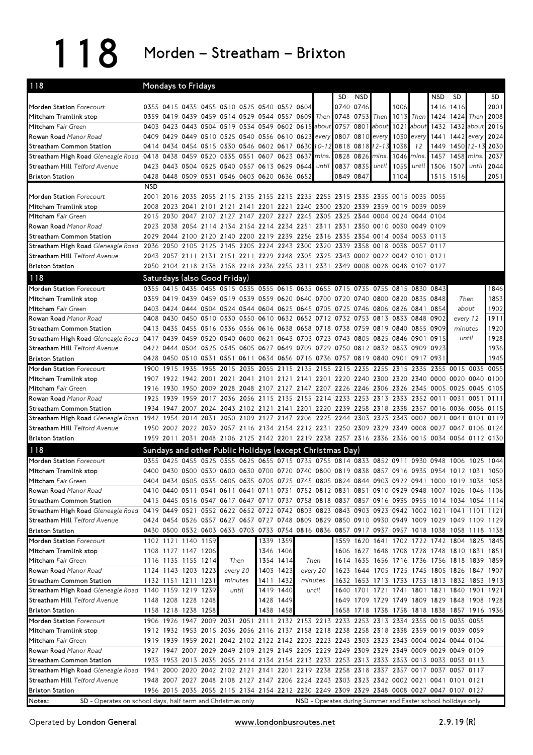## 118 Morden – Streatham – Brixton

| 118                                                                                                                                                           |            |      | Mondays to Fridays  |                              |       |                                              |           |          |                                                                                                                                                                                             |            |                |      |                |      |            |                                              |              |
|---------------------------------------------------------------------------------------------------------------------------------------------------------------|------------|------|---------------------|------------------------------|-------|----------------------------------------------|-----------|----------|---------------------------------------------------------------------------------------------------------------------------------------------------------------------------------------------|------------|----------------|------|----------------|------|------------|----------------------------------------------|--------------|
|                                                                                                                                                               |            |      |                     |                              |       |                                              |           |          | SD.                                                                                                                                                                                         | <b>NSD</b> |                |      |                | NSD  | SD.        |                                              | SD.          |
| Morden Station Forecourt                                                                                                                                      |            |      |                     |                              |       | 0355 0415 0435 0455 0510 0525 0540 0552 0604 |           |          | 0740 0746                                                                                                                                                                                   |            |                | 1006 |                |      | 1416 1416  |                                              | 2001         |
| Mitcham Tramlink stop                                                                                                                                         |            |      |                     |                              |       |                                              |           |          | 0359 0419 0439 0459 0514 0529 0544 0557 0609 Then 0748 0753 Then 1013 Then 1424 1424 Then 2008                                                                                              |            |                |      |                |      |            |                                              |              |
| Mitcham Fair Green                                                                                                                                            |            |      |                     |                              |       |                                              |           |          | 0403 0423 0443 0504 0519 0534 0549 0602 0615 about 0757                                                                                                                                     |            | 0801 about     |      | $1021$ about   | 1432 |            | 1432 about 2016                              |              |
| Rowan Road Manor Road                                                                                                                                         |            |      |                     |                              |       |                                              |           |          | 0409 0429 0449 0510 0525 0540 0556 0610 0623 every 0807 0810 every                                                                                                                          |            |                |      | $1030$ every   |      |            | 1441 1442 every 2024                         |              |
| Streatham Common Station                                                                                                                                      |            |      |                     |                              |       |                                              |           |          | 0414 0434 0454 0515 0530 0546 0602 0617 0630 0-12 0818 0818 02-13                                                                                                                           |            |                | 1038 | 12             | 1449 |            | 1450 12-13 2030                              |              |
| Streatham High Road Gleneagle Road 0418                                                                                                                       |            |      |                     |                              |       |                                              |           |          | 0438 0459 0520 0535 0551 0607 0623 0637 mins. 0828 0826 mins.                                                                                                                               |            |                |      | 1046 mins.     | 1457 | 1458 mins. |                                              | 2037         |
| Streatham Hill Telford Avenue                                                                                                                                 |            |      |                     |                              |       |                                              |           |          | 0423 0443 0504 0525 0540 0557 0613 0629 0644 until 0837 0835                                                                                                                                |            | until <b>I</b> | 1055 | until <b>I</b> | 1506 |            | 1507 until 2044                              |              |
| <b>Brixton Station</b>                                                                                                                                        |            |      |                     |                              |       | 0428 0448 0509 0531 0546 0603 0620 0636 0652 |           |          | 0849 0847                                                                                                                                                                                   |            |                | 1104 |                |      | 1515 1516  |                                              | 2051         |
|                                                                                                                                                               | <b>NSD</b> |      |                     |                              |       |                                              |           |          |                                                                                                                                                                                             |            |                |      |                |      |            |                                              |              |
| Morden Station Forecourt                                                                                                                                      |            |      |                     |                              |       |                                              |           |          | 2001 2016 2035 2055 2115 2135 2155 2215 2235 2255 2315 2335 2355 0015 0035 0055                                                                                                             |            |                |      |                |      |            |                                              |              |
| Mitcham Tramlink stop                                                                                                                                         |            |      |                     |                              |       |                                              |           |          | 2008 2023 2041 2101 2121 2141 2201 2221 2240 2300 2320 2339 2359 0019 0039 0059                                                                                                             |            |                |      |                |      |            |                                              |              |
| Mitcham Fair Green                                                                                                                                            |            |      |                     |                              |       |                                              |           |          | 2015 2030 2047 2107 2127 2147 2207 2227 2245 2305 2325 2344 0004 0024 0044 0104                                                                                                             |            |                |      |                |      |            |                                              |              |
| <b>Rowan Road Manor Road</b>                                                                                                                                  |            |      |                     |                              |       |                                              |           |          | 2023 2038 2054 2114 2134 2154 2214 2234 2251 2311 2331 2350 0010 0030 0049 0109                                                                                                             |            |                |      |                |      |            |                                              |              |
| Streatham Common Station<br>Streatham High Road Gleneagle Road 2036 2050 2105 2125 2145 2205 2224 2243 2300 2320 2339 2358 0018 0038 0057 0117                |            |      |                     |                              |       |                                              |           |          | 2029 2044 2100 2120 2140 2200 2219 2239 2256 2316 2335 2354 0014 0034 0053 0113                                                                                                             |            |                |      |                |      |            |                                              |              |
| Streatham Hill Telford Avenue                                                                                                                                 |            |      |                     |                              |       |                                              |           |          | 2043 2057 2111 2131 2151 2211 2229 2248 2305 2325 2343 0002 0022 0042 0101 0121                                                                                                             |            |                |      |                |      |            |                                              |              |
| <b>Brixton Station</b>                                                                                                                                        |            |      |                     |                              |       |                                              |           |          | 2050 2104 2118 2138 2158 2218 2236 2255 2311 2331 2349 0008 0028 0048 0107 0127                                                                                                             |            |                |      |                |      |            |                                              |              |
|                                                                                                                                                               |            |      |                     |                              |       |                                              |           |          |                                                                                                                                                                                             |            |                |      |                |      |            |                                              |              |
| 118                                                                                                                                                           |            |      |                     | Saturdays (also Good Friday) |       |                                              |           |          |                                                                                                                                                                                             |            |                |      |                |      |            |                                              |              |
| Morden Station Forecourt                                                                                                                                      |            |      |                     |                              |       |                                              |           |          | 0355 0415 0435 0455 0515 0535 0555 0615 0635 0655 0715 0735 0755 0815 0830 0843                                                                                                             |            |                |      |                |      |            |                                              | 1846         |
| Mitcham Tramlink stop                                                                                                                                         |            |      |                     |                              |       |                                              |           |          | 0359 0419 0439 0459 0519 0539 0559 0620 0640 0700 0720 0740 0800 0820 0835 0848                                                                                                             |            |                |      |                |      | Then       |                                              | 1853         |
| Mitcham Fair Green                                                                                                                                            |            |      |                     |                              |       |                                              |           |          | 0403 0424 0444 0504 0524 0544 0604 0625 0645 0705 0725 0746 0806 0826 0841 0854                                                                                                             |            |                |      |                |      |            | about                                        | 1902         |
| Rowan Road Manor Road                                                                                                                                         |            |      |                     |                              |       |                                              |           |          | 0408 0430 0450 0510 0530 0550 0610 0632 0652 0712 0732 0753 0813 0833 0848 0902                                                                                                             |            |                |      |                |      | every 12   |                                              | 1911         |
| Streatham Common Station                                                                                                                                      |            |      |                     |                              |       |                                              |           |          | 0413 0435 0455 0516 0536 0556 0616 0638 0658 0718 0738 0759 0819 0840 0855 0909                                                                                                             |            |                |      |                |      | minutes    |                                              | 1920         |
| Streatham High Road Gleneagle Road 0417 0439 0459 0520 0540 0600 0621 0643 0703 0723 0743 0805 0825 0846 0901 0915                                            |            |      |                     |                              |       |                                              |           |          |                                                                                                                                                                                             |            |                |      |                |      |            | until                                        | 1928         |
| <b>Streatham Hill</b> Telford Avenue                                                                                                                          |            |      |                     |                              |       |                                              |           |          | 0422 0444 0504 0525 0545 0605 0627 0649 0709 0729 0750 0812 0832 0853 0909 0923                                                                                                             |            |                |      |                |      |            |                                              | 1936         |
| <b>Brixton Station</b>                                                                                                                                        |            |      |                     |                              |       |                                              |           |          | 0428 0450 0510 0531 0551 0611 0634 0656 0716 0736 0757 0819 0840 0901 0917 0931                                                                                                             |            |                |      |                |      |            |                                              | 1945<br>0055 |
| Morden Station Forecourt                                                                                                                                      | 1900       | 1915 |                     |                              |       |                                              |           |          | 1935 1955 2015 2035 2055 2115 2135 2155 2215 2235 2255 2315 2335 2355 0015 0035                                                                                                             |            |                |      |                |      |            |                                              |              |
| Mitcham Tramlink stop                                                                                                                                         |            |      |                     |                              |       |                                              |           |          | 1907 1922 1942 2001 2021 2041 2101 2121 2141 2201 2220 2240 2300 2320 2340 0000 0020 0040 0100                                                                                              |            |                |      |                |      |            |                                              |              |
| Mitcham Fair Green<br>Rowan Road Manor Road                                                                                                                   |            |      |                     |                              |       |                                              |           |          | 1916 1930 1950 2009 2028 2048 2107 2127 2147 2207 2226 2246 2306 2326 2345 0005 0025 0045 0105<br>1925 1939 1959 2017 2036 2056 2115 2135 2155 2214 2233 2253 2313 2333 2352 0011 0031 0051 |            |                |      |                |      |            |                                              | 0111         |
| Streatham Common Station                                                                                                                                      |            |      |                     |                              |       |                                              |           |          |                                                                                                                                                                                             |            |                |      |                |      |            |                                              |              |
| Streatham High Road Gleneagle Road 1942 1954 2014 2031 2050 2109 2127 2147 2206 2225 2244 2303 2323 2343 0002 0021 0041 0101                                  |            |      |                     |                              |       |                                              |           |          | 1934 1947 2007 2024 2043 2102 2121 2141 2201 2220 2239 2258 2318 2338 2357 0016 0036 0056 0115                                                                                              |            |                |      |                |      |            |                                              | 0119         |
| Streatham Hill Telford Avenue                                                                                                                                 |            |      |                     |                              |       |                                              |           |          | 1950 2002 2022 2039 2057 2116 2134 2154 2212 2231 2250 2309 2329 2349 0008 0027 0047 0106 0124                                                                                              |            |                |      |                |      |            |                                              |              |
| <b>Brixton Station</b>                                                                                                                                        |            |      |                     |                              |       |                                              |           |          | 1959 2011 2031 2048 2106 2125 2142 2201 2219 2238 2257 2316 2336 2356 0015 0034 0054 0112 0130                                                                                              |            |                |      |                |      |            |                                              |              |
|                                                                                                                                                               |            |      |                     |                              |       |                                              |           |          |                                                                                                                                                                                             |            |                |      |                |      |            |                                              |              |
| 118                                                                                                                                                           |            |      |                     |                              |       |                                              |           |          | Sundays and other Public Holidays (except Christmas Day)                                                                                                                                    |            |                |      |                |      |            |                                              |              |
| Morden Station Forecourt                                                                                                                                      |            |      |                     |                              |       |                                              |           |          | 0355 0425 0455 0525 0555 0625 0655 0715 0735 0755 0814 0833 0852 0911 0930 0948 1006 1025 1044                                                                                              |            |                |      |                |      |            |                                              |              |
| Mitcham Tramlink stop                                                                                                                                         |            |      |                     |                              |       |                                              |           |          | 0400 0430 0500 0530 0600 0630 0700 0720 0740 0800 0819 0838 0857 0916 0935 0954 1012 1031 1050                                                                                              |            |                |      |                |      |            |                                              |              |
| Mitcham Fair Green                                                                                                                                            |            |      |                     |                              |       |                                              |           |          | 0404 0434 0505 0535 0605 0635 0705 0725 0745 0805 0824 0844 0903 0922 0941 1000 1019 1038 1058                                                                                              |            |                |      |                |      |            |                                              |              |
| Rowan Road Manor Road                                                                                                                                         |            |      |                     |                              |       |                                              |           |          | 0410 0440 0511 0541 0611 0641 0711 0731 0752 0812 0831 0851 0910 0929 0948 1007 1026 1046 1106                                                                                              |            |                |      |                |      |            |                                              |              |
| Streatham Common Station<br>Streatham High Road Gleneagle Road 0419 0449 0521 0552 0622 0652 0722 0742 0803 0823 0843 0903 0923 0942 1002 1021 1041 1101 1121 |            |      |                     |                              |       |                                              |           |          | 0415 0445 0516 0547 0617 0647 0717 0737 0758 0818 0837 0857 0916 0935 0955 1014 1034 1054 1114                                                                                              |            |                |      |                |      |            |                                              |              |
| <b>Streatham Hill Telford Avenue</b>                                                                                                                          |            |      |                     |                              |       |                                              |           |          | 0424 0454 0526 0557 0627 0657 0727 0748 0809 0829 0850 0910 0930 0949 1009 1029 1049 1109 1129                                                                                              |            |                |      |                |      |            |                                              |              |
| <b>Brixton Station</b>                                                                                                                                        |            |      |                     |                              |       |                                              |           |          | 0430 0500 0532 0603 0633 0703 0733 0754 0816 0836 0857 0917 0937 0957 1018 1038 1058 1118 1138                                                                                              |            |                |      |                |      |            |                                              |              |
| Morden Station Forecourt                                                                                                                                      |            |      | 1102 1121 1140 1159 |                              |       |                                              | 1339 1359 |          |                                                                                                                                                                                             |            |                |      |                |      |            | 1559 1620 1641 1702 1722 1742 1804 1825 1845 |              |
| Mitcham Tramlink stop                                                                                                                                         |            |      | 1108 1127 1147 1206 |                              |       |                                              | 1346 1406 |          |                                                                                                                                                                                             |            |                |      |                |      |            | 1606 1627 1648 1708 1728 1748 1810 1831 1851 |              |
| Mitcham Fair Green                                                                                                                                            |            |      | 1116 1135 1155 1214 |                              | Then  |                                              | 1354 1414 | Then     |                                                                                                                                                                                             |            |                |      |                |      |            | 1614 1635 1656 1716 1736 1756 1818 1839 1859 |              |
| Rowan Road Manor Road                                                                                                                                         |            |      | 1124 1143 1203 1223 | every 20                     |       |                                              | 1403 1423 | every 20 |                                                                                                                                                                                             |            |                |      |                |      |            | 1623 1644 1705 1725 1745 1805 1826 1847 1907 |              |
| <b>Streatham Common Station</b>                                                                                                                               |            |      | 1132 1151 1211 1231 | minutes                      |       |                                              | 1411 1432 | minutes  |                                                                                                                                                                                             |            |                |      |                |      |            | 1632 1653 1713 1733 1753 1813 1832 1853 1913 |              |
| Streatham High Road Gleneagle Road 1140 1159 1219 1239                                                                                                        |            |      |                     |                              | until |                                              | 1419 1440 | until    |                                                                                                                                                                                             |            |                |      |                |      |            | 1640 1701 1721 1741 1801 1821 1840 1901 1921 |              |
| Streatham Hill Telford Avenue                                                                                                                                 |            |      | 1148 1208 1228 1248 |                              |       |                                              | 1428 1449 |          |                                                                                                                                                                                             |            |                |      |                |      |            | 1649 1709 1729 1749 1809 1829 1848 1908 1928 |              |
| <b>Brixton Station</b>                                                                                                                                        |            |      | 1158 1218 1238 1258 |                              |       |                                              | 1438 1458 |          |                                                                                                                                                                                             |            |                |      |                |      |            | 1658 1718 1738 1758 1818 1838 1857 1916 1936 |              |
| Morden Station Forecourt                                                                                                                                      |            |      |                     |                              |       |                                              |           |          | 1906 1926 1947 2009 2031 2051 2111 2132 2153 2213 2233 2253 2313 2334 2355 0015 0035 0055                                                                                                   |            |                |      |                |      |            |                                              |              |
| Mitcham Tramlink stop                                                                                                                                         |            |      |                     |                              |       |                                              |           |          | 1912 1932 1953 2015 2036 2056 2116 2137 2158 2218 2238 2258 2318 2338 2359 0019 0039 0059                                                                                                   |            |                |      |                |      |            |                                              |              |
| Mitcham Fair Green                                                                                                                                            |            |      |                     |                              |       |                                              |           |          | 1919 1939 1959 2021 2042 2102 2122 2142 2203 2223 2243 2303 2323 2343 0004 0024 0044 0104                                                                                                   |            |                |      |                |      |            |                                              |              |
| Rowan Road Manor Road                                                                                                                                         |            |      |                     |                              |       |                                              |           |          | 1927 1947 2007 2029 2049 2109 2129 2149 2209 2229 2249 2309 2329 2349 0009 0029 0049 0109                                                                                                   |            |                |      |                |      |            |                                              |              |
| Streatham Common Station                                                                                                                                      |            |      |                     |                              |       |                                              |           |          | 1933 1953 2013 2035 2055 2114 2134 2154 2213 2233 2253 2313 2333 2353 0013 0033 0053 0113                                                                                                   |            |                |      |                |      |            |                                              |              |
| Streatham High Road Gleneagle Road 1941 2000 2020 2042 2102 2121 2141 2201 2219 2238 2258 2318 2337 2357 0017 0037 0057 0117                                  |            |      |                     |                              |       |                                              |           |          |                                                                                                                                                                                             |            |                |      |                |      |            |                                              |              |
| Streatham Hill Telford Avenue                                                                                                                                 |            |      |                     |                              |       |                                              |           |          | 1948 2007 2027 2048 2108 2127 2147 2206 2224 2243 2303 2323 2342 0002 0021 0041 0101 0121                                                                                                   |            |                |      |                |      |            |                                              |              |
| <b>Brixton Station</b>                                                                                                                                        |            |      |                     |                              |       |                                              |           |          | 1956 2015 2035 2055 2115 2134 2154 2212 2230 2249 2309 2329 2348 0008 0027 0047 0107 0127                                                                                                   |            |                |      |                |      |            |                                              |              |
| SD - Operates on school days, half term and Christmas only<br>Notes:                                                                                          |            |      |                     |                              |       |                                              |           |          | NSD - Operates during Summer and Easter school holidays only                                                                                                                                |            |                |      |                |      |            |                                              |              |